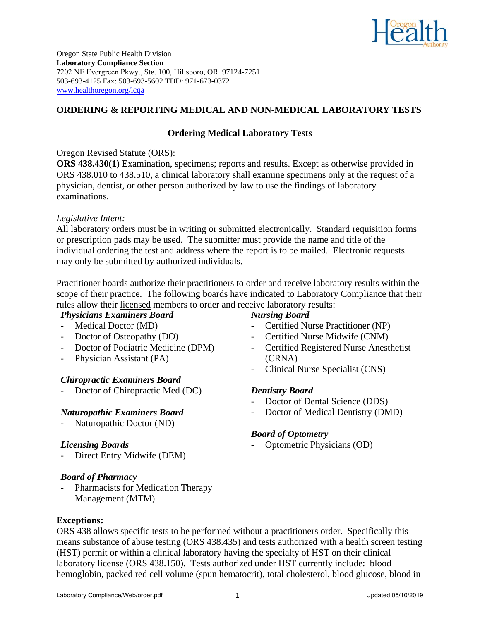

Oregon State Public Health Division **Laboratory Compliance Section** 7202 NE Evergreen Pkwy., Ste. 100, Hillsboro, OR 97124-7251 503-693-4125 Fax: 503-693-5602 TDD: 971-673-0372 www.healthoregon.org/lcqa

## **ORDERING & REPORTING MEDICAL AND NON-MEDICAL LABORATORY TESTS**

# **Ordering Medical Laboratory Tests**

Oregon Revised Statute (ORS):

**ORS 438.430(1)** Examination, specimens; reports and results. Except as otherwise provided in ORS 438.010 to 438.510, a clinical laboratory shall examine specimens only at the request of a physician, dentist, or other person authorized by law to use the findings of laboratory examinations.

## *Legislative Intent:*

All laboratory orders must be in writing or submitted electronically. Standard requisition forms or prescription pads may be used. The submitter must provide the name and title of the individual ordering the test and address where the report is to be mailed. Electronic requests may only be submitted by authorized individuals.

Practitioner boards authorize their practitioners to order and receive laboratory results within the scope of their practice. The following boards have indicated to Laboratory Compliance that their rules allow their licensed members to order and receive laboratory results:

## *Physicians Examiners Board*

- Medical Doctor (MD)
- Doctor of Osteopathy (DO)
- Doctor of Podiatric Medicine (DPM)
- Physician Assistant (PA)

# *Chiropractic Examiners Board*

Doctor of Chiropractic Med (DC)

## *Naturopathic Examiners Board*

- Naturopathic Doctor (ND)

## *Licensing Boards*

- Direct Entry Midwife (DEM)

## *Board of Pharmacy*

Pharmacists for Medication Therapy Management (MTM)

# *Nursing Board*

- Certified Nurse Practitioner (NP)
- Certified Nurse Midwife (CNM)
- Certified Registered Nurse Anesthetist (CRNA)
- Clinical Nurse Specialist (CNS)

# *Dentistry Board*

- Doctor of Dental Science (DDS)
- Doctor of Medical Dentistry (DMD)

# *Board of Optometry*

- Optometric Physicians (OD)

ORS 438 allows specific tests to be performed without a practitioners order. Specifically this means substance of abuse testing (ORS 438.435) and tests authorized with a health screen testing (HST) permit or within a clinical laboratory having the specialty of HST on their clinical laboratory license (ORS 438.150). Tests authorized under HST currently include: blood hemoglobin, packed red cell volume (spun hematocrit), total cholesterol, blood glucose, blood in